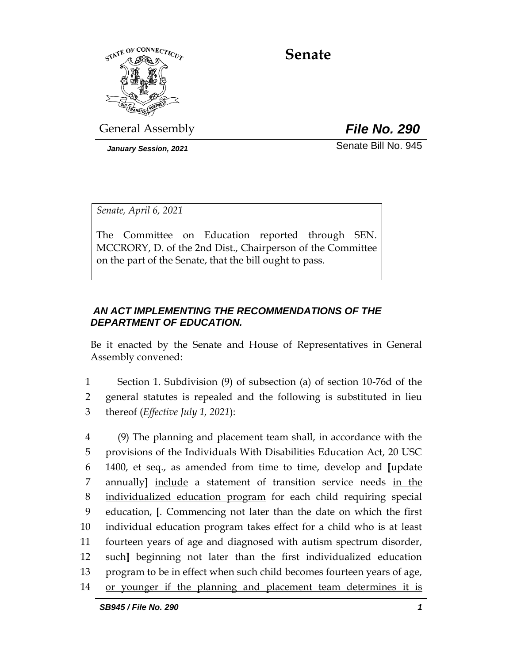

**Senate**

General Assembly *File No. 290*

*January Session, 2021* Senate Bill No. 945

*Senate, April 6, 2021*

The Committee on Education reported through SEN. MCCRORY, D. of the 2nd Dist., Chairperson of the Committee on the part of the Senate, that the bill ought to pass.

# *AN ACT IMPLEMENTING THE RECOMMENDATIONS OF THE DEPARTMENT OF EDUCATION.*

Be it enacted by the Senate and House of Representatives in General Assembly convened:

1 Section 1. Subdivision (9) of subsection (a) of section 10-76d of the 2 general statutes is repealed and the following is substituted in lieu 3 thereof (*Effective July 1, 2021*):

 (9) The planning and placement team shall, in accordance with the provisions of the Individuals With Disabilities Education Act, 20 USC 1400, et seq., as amended from time to time, develop and **[**update annually**]** include a statement of transition service needs in the individualized education program for each child requiring special education, **[**. Commencing not later than the date on which the first individual education program takes effect for a child who is at least fourteen years of age and diagnosed with autism spectrum disorder, such**]** beginning not later than the first individualized education program to be in effect when such child becomes fourteen years of age, or younger if the planning and placement team determines it is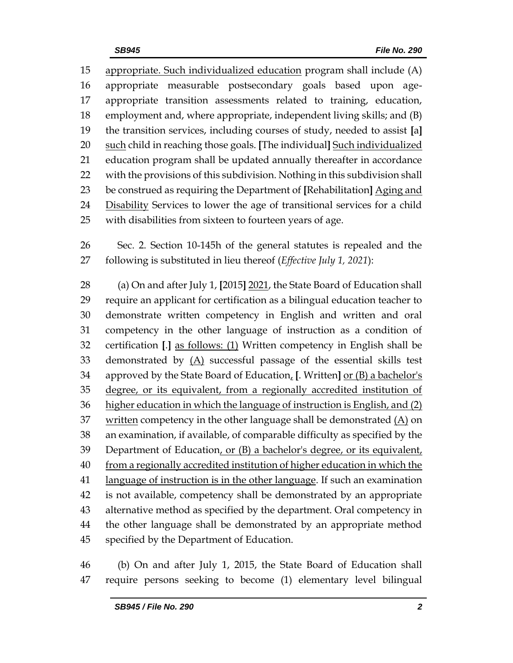appropriate. Such individualized education program shall include (A) appropriate measurable postsecondary goals based upon age- appropriate transition assessments related to training, education, employment and, where appropriate, independent living skills; and (B) the transition services, including courses of study, needed to assist **[**a**]** such child in reaching those goals. **[**The individual**]** Such individualized education program shall be updated annually thereafter in accordance with the provisions of this subdivision. Nothing in this subdivision shall be construed as requiring the Department of **[**Rehabilitation**]** Aging and 24 Disability Services to lower the age of transitional services for a child with disabilities from sixteen to fourteen years of age.

 Sec. 2. Section 10-145h of the general statutes is repealed and the following is substituted in lieu thereof (*Effective July 1, 2021*):

 (a) On and after July 1, **[**2015**]** 2021, the State Board of Education shall require an applicant for certification as a bilingual education teacher to demonstrate written competency in English and written and oral competency in the other language of instruction as a condition of certification **[**.**]** as follows: (1) Written competency in English shall be demonstrated by (A) successful passage of the essential skills test approved by the State Board of Education, **[**. Written**]** or (B) a bachelor's degree, or its equivalent, from a regionally accredited institution of higher education in which the language of instruction is English, and (2) 37 written competency in the other language shall be demonstrated  $(A)$  on an examination, if available, of comparable difficulty as specified by the 39 Department of Education, or (B) a bachelor's degree, or its equivalent, from a regionally accredited institution of higher education in which the language of instruction is in the other language. If such an examination is not available, competency shall be demonstrated by an appropriate alternative method as specified by the department. Oral competency in the other language shall be demonstrated by an appropriate method specified by the Department of Education.

 (b) On and after July 1, 2015, the State Board of Education shall require persons seeking to become (1) elementary level bilingual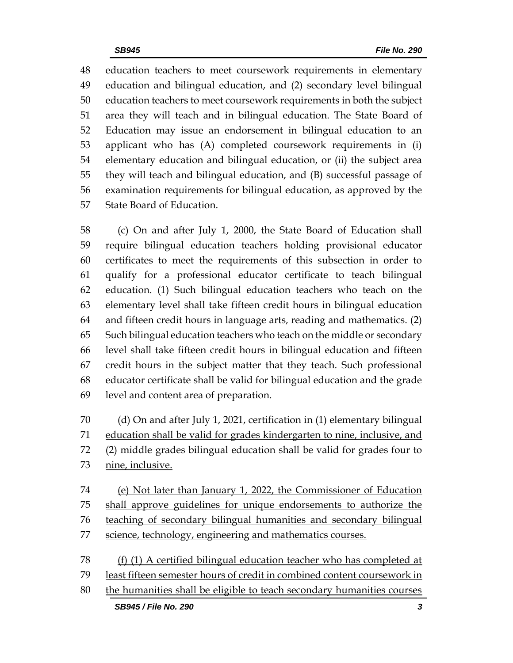education teachers to meet coursework requirements in elementary education and bilingual education, and (2) secondary level bilingual education teachers to meet coursework requirements in both the subject area they will teach and in bilingual education. The State Board of Education may issue an endorsement in bilingual education to an applicant who has (A) completed coursework requirements in (i) elementary education and bilingual education, or (ii) the subject area they will teach and bilingual education, and (B) successful passage of examination requirements for bilingual education, as approved by the State Board of Education.

 (c) On and after July 1, 2000, the State Board of Education shall require bilingual education teachers holding provisional educator certificates to meet the requirements of this subsection in order to qualify for a professional educator certificate to teach bilingual education. (1) Such bilingual education teachers who teach on the elementary level shall take fifteen credit hours in bilingual education and fifteen credit hours in language arts, reading and mathematics. (2) Such bilingual education teachers who teach on the middle or secondary level shall take fifteen credit hours in bilingual education and fifteen credit hours in the subject matter that they teach. Such professional educator certificate shall be valid for bilingual education and the grade level and content area of preparation.

70 (d) On and after July 1, 2021, certification in (1) elementary bilingual education shall be valid for grades kindergarten to nine, inclusive, and (2) middle grades bilingual education shall be valid for grades four to nine, inclusive.

 (e) Not later than January 1, 2022, the Commissioner of Education shall approve guidelines for unique endorsements to authorize the teaching of secondary bilingual humanities and secondary bilingual science, technology, engineering and mathematics courses.

 (f) (1) A certified bilingual education teacher who has completed at least fifteen semester hours of credit in combined content coursework in the humanities shall be eligible to teach secondary humanities courses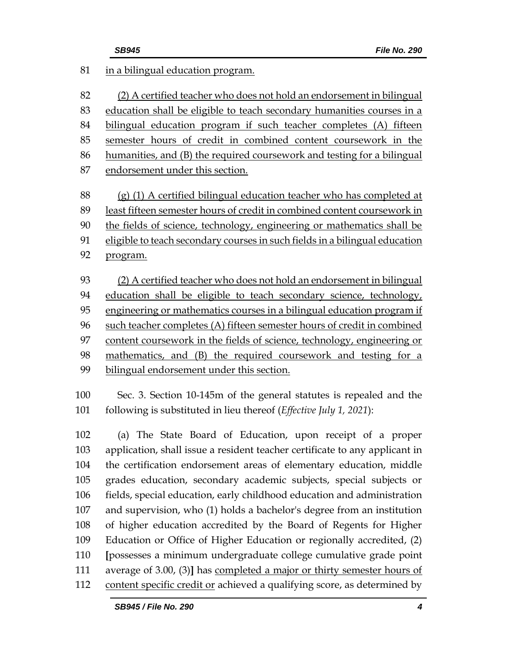| 81  | in a bilingual education program.                                           |
|-----|-----------------------------------------------------------------------------|
| 82  | (2) A certified teacher who does not hold an endorsement in bilingual       |
| 83  | education shall be eligible to teach secondary humanities courses in a      |
| 84  | bilingual education program if such teacher completes (A) fifteen           |
| 85  | semester hours of credit in combined content coursework in the              |
| 86  | humanities, and (B) the required coursework and testing for a bilingual     |
| 87  | endorsement under this section.                                             |
| 88  | (g) (1) A certified bilingual education teacher who has completed at        |
| 89  | least fifteen semester hours of credit in combined content coursework in    |
| 90  | the fields of science, technology, engineering or mathematics shall be      |
| 91  | eligible to teach secondary courses in such fields in a bilingual education |
| 92  | program.                                                                    |
| 93  | (2) A certified teacher who does not hold an endorsement in bilingual       |
| 94  | education shall be eligible to teach secondary science, technology,         |
| 95  | engineering or mathematics courses in a bilingual education program if      |
| 96  | such teacher completes (A) fifteen semester hours of credit in combined     |
| 97  | content coursework in the fields of science, technology, engineering or     |
| 98  | mathematics, and (B) the required coursework and testing for a              |
| 99  | bilingual endorsement under this section.                                   |
| 100 | Sec. 3. Section 10-145m of the general statutes is repealed and the         |
| 101 | following is substituted in lieu thereof (Effective July 1, 2021):          |
| 102 | (a) The State Board of Education, upon receipt of a proper                  |
| 103 | application, shall issue a resident teacher certificate to any applicant in |
| 104 | the certification endorsement areas of elementary education, middle         |
| 105 | grades education, secondary academic subjects, special subjects or          |
| 106 | fields, special education, early childhood education and administration     |
| 107 | and supervision, who (1) holds a bachelor's degree from an institution      |
| 108 | of higher education accredited by the Board of Regents for Higher           |
| 109 | Education or Office of Higher Education or regionally accredited, (2)       |
| 110 | [possesses a minimum undergraduate college cumulative grade point           |
| 111 | average of 3.00, (3)] has completed a major or thirty semester hours of     |
| 112 | content specific credit or achieved a qualifying score, as determined by    |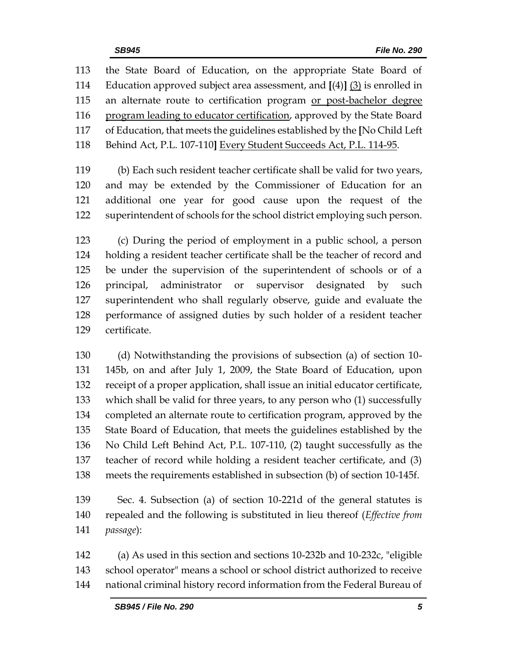the State Board of Education, on the appropriate State Board of Education approved subject area assessment, and **[**(4)**]** (3) is enrolled in 115 an alternate route to certification program or post-bachelor degree program leading to educator certification, approved by the State Board of Education, that meets the guidelines established by the **[**No Child Left Behind Act, P.L. 107-110**]** Every Student Succeeds Act, P.L. 114-95.

 (b) Each such resident teacher certificate shall be valid for two years, and may be extended by the Commissioner of Education for an additional one year for good cause upon the request of the superintendent of schools for the school district employing such person.

 (c) During the period of employment in a public school, a person holding a resident teacher certificate shall be the teacher of record and be under the supervision of the superintendent of schools or of a principal, administrator or supervisor designated by such superintendent who shall regularly observe, guide and evaluate the performance of assigned duties by such holder of a resident teacher certificate.

 (d) Notwithstanding the provisions of subsection (a) of section 10- 145b, on and after July 1, 2009, the State Board of Education, upon receipt of a proper application, shall issue an initial educator certificate, which shall be valid for three years, to any person who (1) successfully completed an alternate route to certification program, approved by the State Board of Education, that meets the guidelines established by the No Child Left Behind Act, P.L. 107-110, (2) taught successfully as the teacher of record while holding a resident teacher certificate, and (3) meets the requirements established in subsection (b) of section 10-145f.

 Sec. 4. Subsection (a) of section 10-221d of the general statutes is repealed and the following is substituted in lieu thereof (*Effective from passage*):

 (a) As used in this section and sections 10-232b and 10-232c, "eligible school operator" means a school or school district authorized to receive national criminal history record information from the Federal Bureau of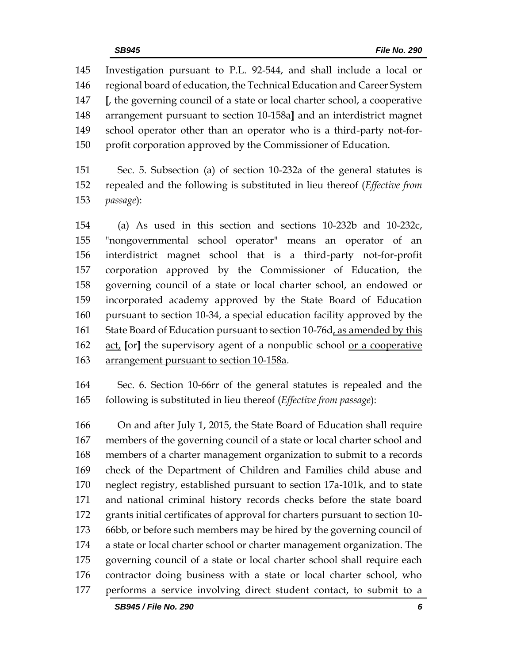Investigation pursuant to P.L. 92-544, and shall include a local or regional board of education, the Technical Education and Career System **[**, the governing council of a state or local charter school, a cooperative arrangement pursuant to section 10-158a**]** and an interdistrict magnet school operator other than an operator who is a third-party not-for-profit corporation approved by the Commissioner of Education.

 Sec. 5. Subsection (a) of section 10-232a of the general statutes is repealed and the following is substituted in lieu thereof (*Effective from passage*):

 (a) As used in this section and sections 10-232b and 10-232c, "nongovernmental school operator" means an operator of an interdistrict magnet school that is a third-party not-for-profit corporation approved by the Commissioner of Education, the governing council of a state or local charter school, an endowed or incorporated academy approved by the State Board of Education pursuant to section 10-34, a special education facility approved by the State Board of Education pursuant to section 10-76d, as amended by this act, **[**or**]** the supervisory agent of a nonpublic school or a cooperative arrangement pursuant to section 10-158a.

 Sec. 6. Section 10-66rr of the general statutes is repealed and the following is substituted in lieu thereof (*Effective from passage*):

 On and after July 1, 2015, the State Board of Education shall require members of the governing council of a state or local charter school and members of a charter management organization to submit to a records check of the Department of Children and Families child abuse and neglect registry, established pursuant to section 17a-101k, and to state and national criminal history records checks before the state board grants initial certificates of approval for charters pursuant to section 10- 66bb, or before such members may be hired by the governing council of a state or local charter school or charter management organization. The governing council of a state or local charter school shall require each contractor doing business with a state or local charter school, who performs a service involving direct student contact, to submit to a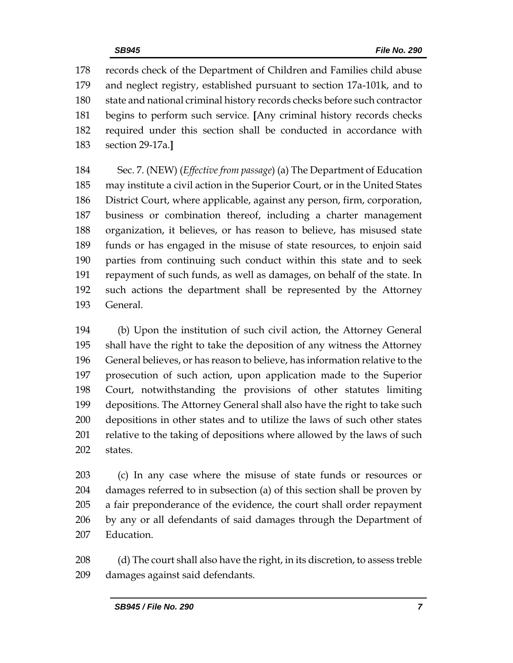records check of the Department of Children and Families child abuse and neglect registry, established pursuant to section 17a-101k, and to state and national criminal history records checks before such contractor begins to perform such service. **[**Any criminal history records checks required under this section shall be conducted in accordance with section 29-17a.**]**

 Sec. 7. (NEW) (*Effective from passage*) (a) The Department of Education may institute a civil action in the Superior Court, or in the United States District Court, where applicable, against any person, firm, corporation, business or combination thereof, including a charter management organization, it believes, or has reason to believe, has misused state funds or has engaged in the misuse of state resources, to enjoin said parties from continuing such conduct within this state and to seek repayment of such funds, as well as damages, on behalf of the state. In such actions the department shall be represented by the Attorney General.

 (b) Upon the institution of such civil action, the Attorney General shall have the right to take the deposition of any witness the Attorney General believes, or has reason to believe, has information relative to the prosecution of such action, upon application made to the Superior Court, notwithstanding the provisions of other statutes limiting depositions. The Attorney General shall also have the right to take such depositions in other states and to utilize the laws of such other states 201 relative to the taking of depositions where allowed by the laws of such states.

 (c) In any case where the misuse of state funds or resources or damages referred to in subsection (a) of this section shall be proven by a fair preponderance of the evidence, the court shall order repayment by any or all defendants of said damages through the Department of Education.

 (d) The court shall also have the right, in its discretion, to assess treble damages against said defendants.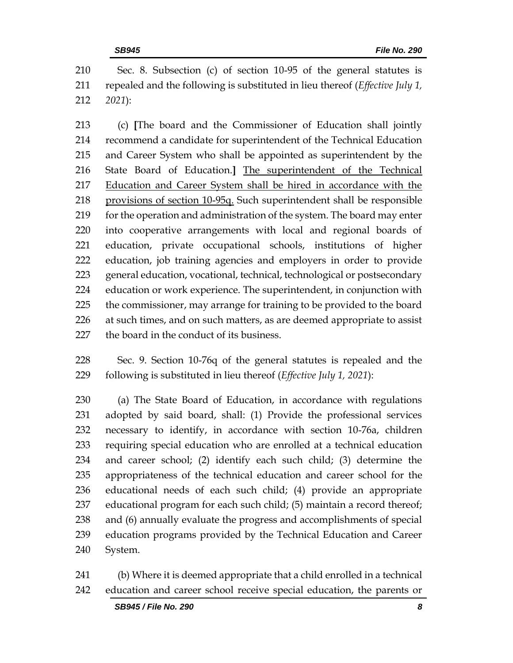Sec. 8. Subsection (c) of section 10-95 of the general statutes is repealed and the following is substituted in lieu thereof (*Effective July 1, 2021*):

 (c) **[**The board and the Commissioner of Education shall jointly recommend a candidate for superintendent of the Technical Education and Career System who shall be appointed as superintendent by the State Board of Education.**]** The superintendent of the Technical Education and Career System shall be hired in accordance with the provisions of section 10-95q. Such superintendent shall be responsible 219 for the operation and administration of the system. The board may enter into cooperative arrangements with local and regional boards of education, private occupational schools, institutions of higher education, job training agencies and employers in order to provide general education, vocational, technical, technological or postsecondary education or work experience. The superintendent, in conjunction with the commissioner, may arrange for training to be provided to the board 226 at such times, and on such matters, as are deemed appropriate to assist the board in the conduct of its business.

 Sec. 9. Section 10-76q of the general statutes is repealed and the following is substituted in lieu thereof (*Effective July 1, 2021*):

 (a) The State Board of Education, in accordance with regulations adopted by said board, shall: (1) Provide the professional services necessary to identify, in accordance with section 10-76a, children requiring special education who are enrolled at a technical education and career school; (2) identify each such child; (3) determine the appropriateness of the technical education and career school for the educational needs of each such child; (4) provide an appropriate educational program for each such child; (5) maintain a record thereof; and (6) annually evaluate the progress and accomplishments of special education programs provided by the Technical Education and Career System.

 (b) Where it is deemed appropriate that a child enrolled in a technical education and career school receive special education, the parents or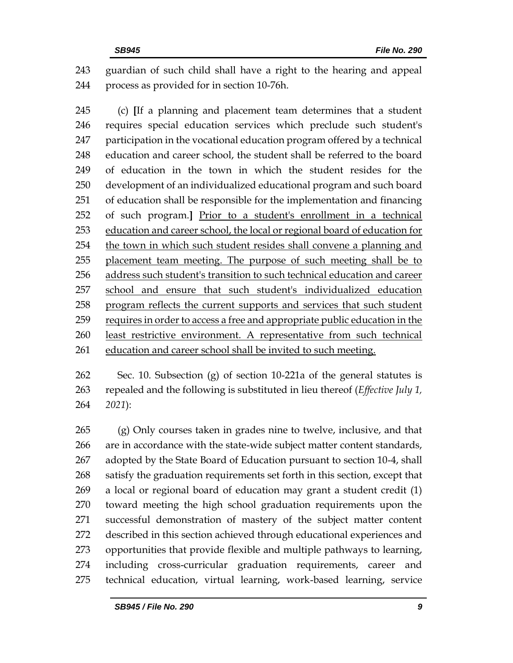guardian of such child shall have a right to the hearing and appeal process as provided for in section 10-76h.

 (c) **[**If a planning and placement team determines that a student requires special education services which preclude such student's participation in the vocational education program offered by a technical education and career school, the student shall be referred to the board of education in the town in which the student resides for the development of an individualized educational program and such board of education shall be responsible for the implementation and financing of such program.**]** Prior to a student's enrollment in a technical education and career school, the local or regional board of education for the town in which such student resides shall convene a planning and 255 placement team meeting. The purpose of such meeting shall be to address such student's transition to such technical education and career school and ensure that such student's individualized education program reflects the current supports and services that such student requires in order to access a free and appropriate public education in the least restrictive environment. A representative from such technical education and career school shall be invited to such meeting.

 Sec. 10. Subsection (g) of section 10-221a of the general statutes is repealed and the following is substituted in lieu thereof (*Effective July 1, 2021*):

 (g) Only courses taken in grades nine to twelve, inclusive, and that are in accordance with the state-wide subject matter content standards, adopted by the State Board of Education pursuant to section 10-4, shall satisfy the graduation requirements set forth in this section, except that a local or regional board of education may grant a student credit (1) toward meeting the high school graduation requirements upon the successful demonstration of mastery of the subject matter content described in this section achieved through educational experiences and opportunities that provide flexible and multiple pathways to learning, including cross-curricular graduation requirements, career and technical education, virtual learning, work-based learning, service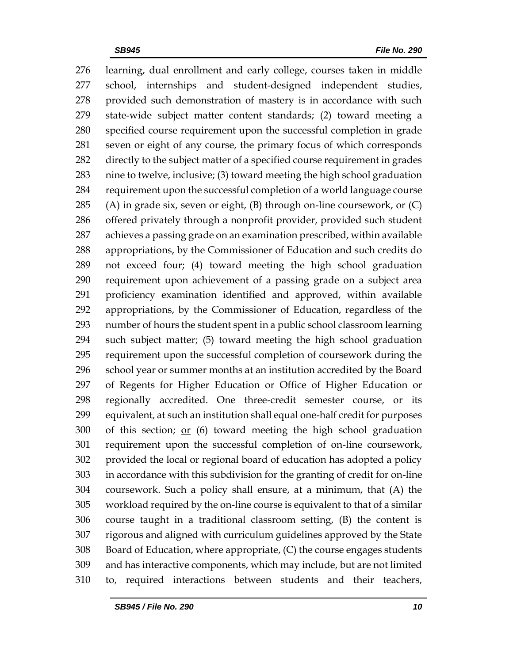learning, dual enrollment and early college, courses taken in middle school, internships and student-designed independent studies, provided such demonstration of mastery is in accordance with such state-wide subject matter content standards; (2) toward meeting a specified course requirement upon the successful completion in grade seven or eight of any course, the primary focus of which corresponds directly to the subject matter of a specified course requirement in grades nine to twelve, inclusive; (3) toward meeting the high school graduation requirement upon the successful completion of a world language course (A) in grade six, seven or eight, (B) through on-line coursework, or (C) offered privately through a nonprofit provider, provided such student achieves a passing grade on an examination prescribed, within available appropriations, by the Commissioner of Education and such credits do not exceed four; (4) toward meeting the high school graduation requirement upon achievement of a passing grade on a subject area proficiency examination identified and approved, within available appropriations, by the Commissioner of Education, regardless of the number of hours the student spent in a public school classroom learning such subject matter; (5) toward meeting the high school graduation requirement upon the successful completion of coursework during the school year or summer months at an institution accredited by the Board of Regents for Higher Education or Office of Higher Education or regionally accredited. One three-credit semester course, or its equivalent, at such an institution shall equal one-half credit for purposes of this section; or (6) toward meeting the high school graduation requirement upon the successful completion of on-line coursework, provided the local or regional board of education has adopted a policy in accordance with this subdivision for the granting of credit for on-line coursework. Such a policy shall ensure, at a minimum, that (A) the workload required by the on-line course is equivalent to that of a similar course taught in a traditional classroom setting, (B) the content is rigorous and aligned with curriculum guidelines approved by the State Board of Education, where appropriate, (C) the course engages students and has interactive components, which may include, but are not limited to, required interactions between students and their teachers,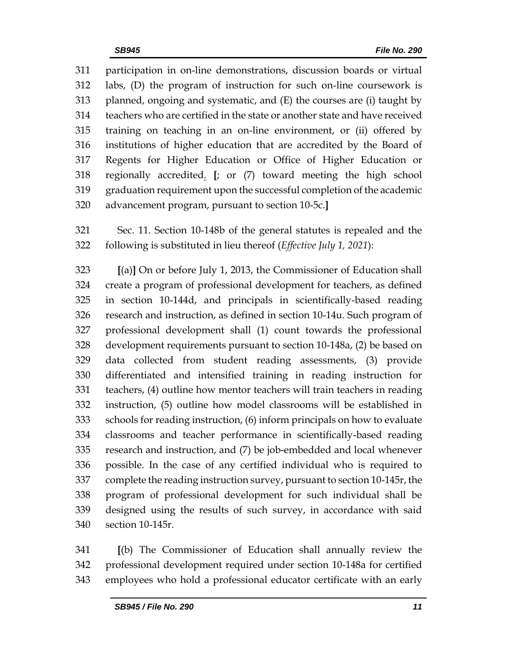participation in on-line demonstrations, discussion boards or virtual labs, (D) the program of instruction for such on-line coursework is planned, ongoing and systematic, and (E) the courses are (i) taught by teachers who are certified in the state or another state and have received training on teaching in an on-line environment, or (ii) offered by institutions of higher education that are accredited by the Board of Regents for Higher Education or Office of Higher Education or regionally accredited. **[**; or (7) toward meeting the high school graduation requirement upon the successful completion of the academic advancement program, pursuant to section 10-5c.**]**

 Sec. 11. Section 10-148b of the general statutes is repealed and the following is substituted in lieu thereof (*Effective July 1, 2021*):

 **[**(a)**]** On or before July 1, 2013, the Commissioner of Education shall create a program of professional development for teachers, as defined in section 10-144d, and principals in scientifically-based reading research and instruction, as defined in section 10-14u. Such program of professional development shall (1) count towards the professional development requirements pursuant to section 10-148a, (2) be based on data collected from student reading assessments, (3) provide differentiated and intensified training in reading instruction for teachers, (4) outline how mentor teachers will train teachers in reading instruction, (5) outline how model classrooms will be established in schools for reading instruction, (6) inform principals on how to evaluate classrooms and teacher performance in scientifically-based reading research and instruction, and (7) be job-embedded and local whenever possible. In the case of any certified individual who is required to complete the reading instruction survey, pursuant to section 10-145r, the program of professional development for such individual shall be designed using the results of such survey, in accordance with said section 10-145r.

 **[**(b) The Commissioner of Education shall annually review the professional development required under section 10-148a for certified employees who hold a professional educator certificate with an early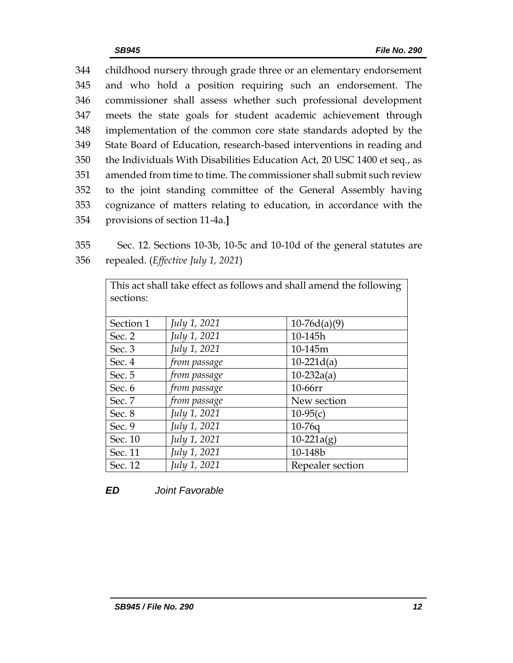childhood nursery through grade three or an elementary endorsement and who hold a position requiring such an endorsement. The commissioner shall assess whether such professional development meets the state goals for student academic achievement through implementation of the common core state standards adopted by the State Board of Education, research-based interventions in reading and the Individuals With Disabilities Education Act, 20 USC 1400 et seq., as amended from time to time. The commissioner shall submit such review to the joint standing committee of the General Assembly having cognizance of matters relating to education, in accordance with the provisions of section 11-4a.**]**

355 Sec. 12. Sections 10-3b, 10-5c and 10-10d of the general statutes are 356 repealed. (*Effective July 1, 2021*)

| This act shall take effect as follows and shall amend the following |              |                  |  |  |  |  |
|---------------------------------------------------------------------|--------------|------------------|--|--|--|--|
| sections:                                                           |              |                  |  |  |  |  |
|                                                                     |              |                  |  |  |  |  |
| Section 1                                                           | July 1, 2021 | $10-76d(a)(9)$   |  |  |  |  |
| Sec. 2                                                              | July 1, 2021 | 10-145h          |  |  |  |  |
| Sec. 3                                                              | July 1, 2021 | 10-145m          |  |  |  |  |
| Sec. 4                                                              | from passage | $10-221d(a)$     |  |  |  |  |
| Sec. 5                                                              | from passage | $10-232a(a)$     |  |  |  |  |
| Sec. 6                                                              | from passage | 10-66rr          |  |  |  |  |
| Sec. 7                                                              | from passage | New section      |  |  |  |  |
| Sec. 8                                                              | July 1, 2021 | $10-95(c)$       |  |  |  |  |
| Sec. 9                                                              | July 1, 2021 | $10-76q$         |  |  |  |  |
| Sec. 10                                                             | July 1, 2021 | $10-221a(g)$     |  |  |  |  |
| Sec. 11                                                             | July 1, 2021 | 10-148b          |  |  |  |  |
| Sec. 12                                                             | July 1, 2021 | Repealer section |  |  |  |  |

*ED Joint Favorable*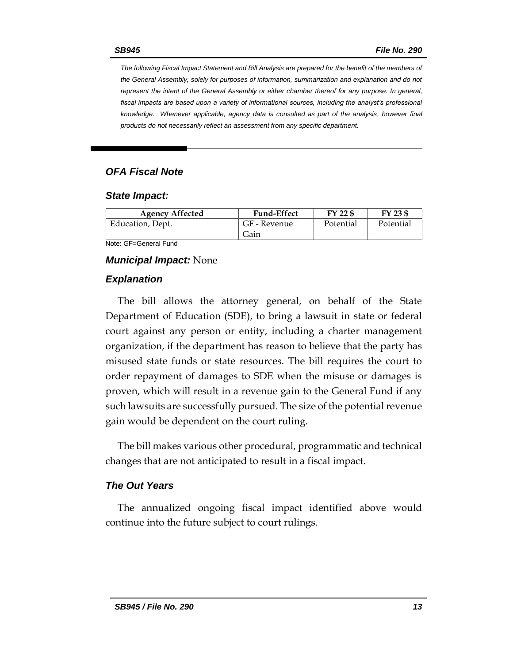*The following Fiscal Impact Statement and Bill Analysis are prepared for the benefit of the members of the General Assembly, solely for purposes of information, summarization and explanation and do not represent the intent of the General Assembly or either chamber thereof for any purpose. In general,*  fiscal impacts are based upon a variety of informational sources, including the analyst's professional *knowledge. Whenever applicable, agency data is consulted as part of the analysis, however final products do not necessarily reflect an assessment from any specific department.*

### *OFA Fiscal Note*

#### *State Impact:*

| <b>Agency Affected</b> | <b>Fund-Effect</b> | FY 22 \$  | FY 23 \$  |
|------------------------|--------------------|-----------|-----------|
| Education, Dept.       | GF - Revenue       | Potential | Potential |
|                        | Gain               |           |           |

Note: GF=General Fund

#### *Municipal Impact:* None

#### *Explanation*

The bill allows the attorney general, on behalf of the State Department of Education (SDE), to bring a lawsuit in state or federal court against any person or entity, including a charter management organization, if the department has reason to believe that the party has misused state funds or state resources. The bill requires the court to order repayment of damages to SDE when the misuse or damages is proven, which will result in a revenue gain to the General Fund if any such lawsuits are successfully pursued. The size of the potential revenue gain would be dependent on the court ruling.

The bill makes various other procedural, programmatic and technical changes that are not anticipated to result in a fiscal impact.

### *The Out Years*

The annualized ongoing fiscal impact identified above would continue into the future subject to court rulings.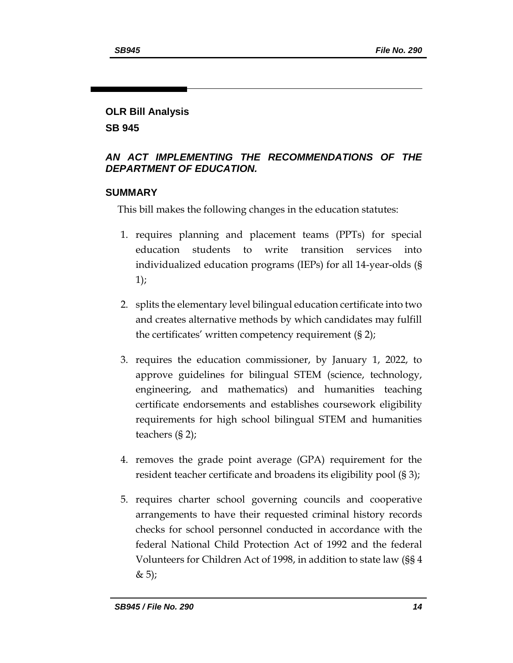### **OLR Bill Analysis**

**SB 945**

# *AN ACT IMPLEMENTING THE RECOMMENDATIONS OF THE DEPARTMENT OF EDUCATION.*

# **SUMMARY**

This bill makes the following changes in the education statutes:

- 1. requires planning and placement teams (PPTs) for special education students to write transition services into individualized education programs (IEPs) for all 14-year-olds (§ 1);
- 2. splits the elementary level bilingual education certificate into two and creates alternative methods by which candidates may fulfill the certificates' written competency requirement (§ 2);
- 3. requires the education commissioner, by January 1, 2022, to approve guidelines for bilingual STEM (science, technology, engineering, and mathematics) and humanities teaching certificate endorsements and establishes coursework eligibility requirements for high school bilingual STEM and humanities teachers (§ 2);
- 4. removes the grade point average (GPA) requirement for the resident teacher certificate and broadens its eligibility pool (§ 3);
- 5. requires charter school governing councils and cooperative arrangements to have their requested criminal history records checks for school personnel conducted in accordance with the federal National Child Protection Act of 1992 and the federal Volunteers for Children Act of 1998, in addition to state law (§§ 4  $& 5);$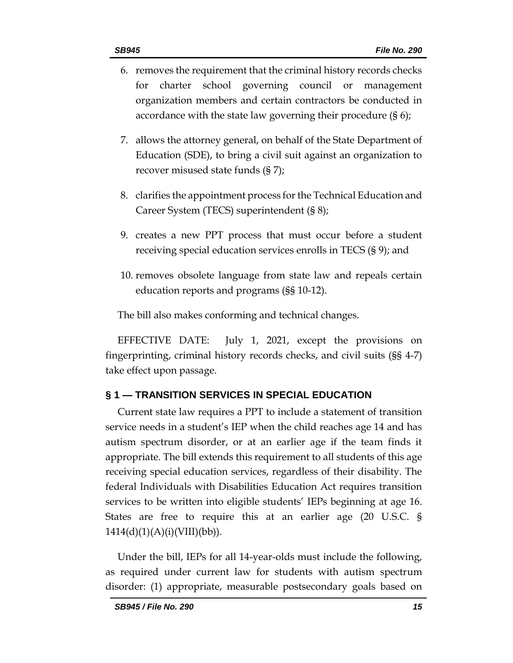- 6. removes the requirement that the criminal history records checks for charter school governing council or management organization members and certain contractors be conducted in accordance with the state law governing their procedure (§ 6);
- 7. allows the attorney general, on behalf of the State Department of Education (SDE), to bring a civil suit against an organization to recover misused state funds (§ 7);
- 8. clarifies the appointment process for the Technical Education and Career System (TECS) superintendent (§ 8);
- 9. creates a new PPT process that must occur before a student receiving special education services enrolls in TECS (§ 9); and
- 10. removes obsolete language from state law and repeals certain education reports and programs (§§ 10-12).

The bill also makes conforming and technical changes.

EFFECTIVE DATE: July 1, 2021, except the provisions on fingerprinting, criminal history records checks, and civil suits (§§ 4-7) take effect upon passage.

# **§ 1 — TRANSITION SERVICES IN SPECIAL EDUCATION**

Current state law requires a PPT to include a statement of transition service needs in a student's IEP when the child reaches age 14 and has autism spectrum disorder, or at an earlier age if the team finds it appropriate. The bill extends this requirement to all students of this age receiving special education services, regardless of their disability. The federal Individuals with Disabilities Education Act requires transition services to be written into eligible students' IEPs beginning at age 16. States are free to require this at an earlier age (20 U.S.C. §  $1414(d)(1)(A)(i)(VIII)(bb)).$ 

Under the bill, IEPs for all 14-year-olds must include the following, as required under current law for students with autism spectrum disorder: (1) appropriate, measurable postsecondary goals based on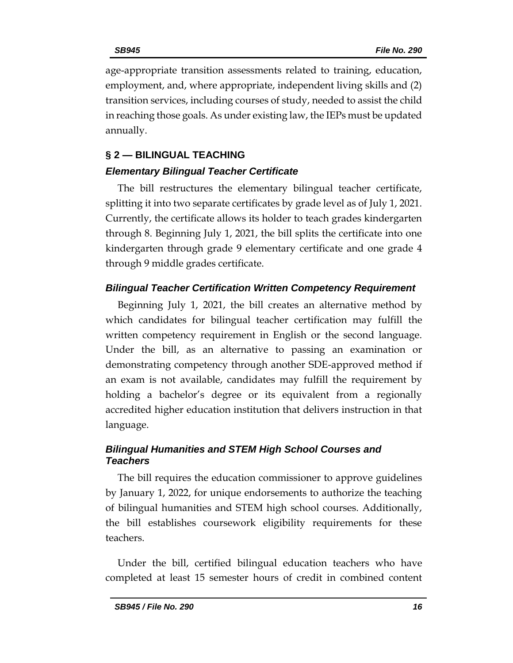age-appropriate transition assessments related to training, education, employment, and, where appropriate, independent living skills and (2) transition services, including courses of study, needed to assist the child in reaching those goals. As under existing law, the IEPs must be updated annually.

### **§ 2 — BILINGUAL TEACHING**

# *Elementary Bilingual Teacher Certificate*

The bill restructures the elementary bilingual teacher certificate, splitting it into two separate certificates by grade level as of July 1, 2021. Currently, the certificate allows its holder to teach grades kindergarten through 8. Beginning July 1, 2021, the bill splits the certificate into one kindergarten through grade 9 elementary certificate and one grade 4 through 9 middle grades certificate.

# *Bilingual Teacher Certification Written Competency Requirement*

Beginning July 1, 2021, the bill creates an alternative method by which candidates for bilingual teacher certification may fulfill the written competency requirement in English or the second language. Under the bill, as an alternative to passing an examination or demonstrating competency through another SDE-approved method if an exam is not available, candidates may fulfill the requirement by holding a bachelor's degree or its equivalent from a regionally accredited higher education institution that delivers instruction in that language.

# *Bilingual Humanities and STEM High School Courses and Teachers*

The bill requires the education commissioner to approve guidelines by January 1, 2022, for unique endorsements to authorize the teaching of bilingual humanities and STEM high school courses. Additionally, the bill establishes coursework eligibility requirements for these teachers.

Under the bill, certified bilingual education teachers who have completed at least 15 semester hours of credit in combined content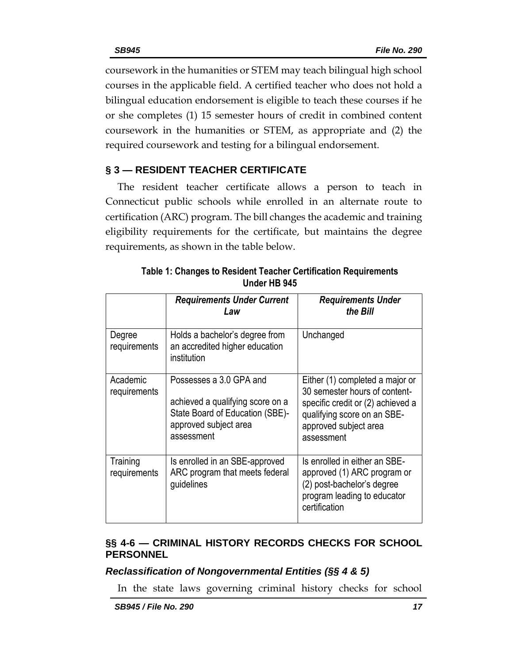coursework in the humanities or STEM may teach bilingual high school courses in the applicable field. A certified teacher who does not hold a bilingual education endorsement is eligible to teach these courses if he or she completes (1) 15 semester hours of credit in combined content coursework in the humanities or STEM, as appropriate and (2) the required coursework and testing for a bilingual endorsement.

# **§ 3 — RESIDENT TEACHER CERTIFICATE**

The resident teacher certificate allows a person to teach in Connecticut public schools while enrolled in an alternate route to certification (ARC) program. The bill changes the academic and training eligibility requirements for the certificate, but maintains the degree requirements, as shown in the table below.

|                          | <b>Requirements Under Current</b><br>Law                                                                                              | <b>Requirements Under</b><br>the Bill                                                                                                                                       |
|--------------------------|---------------------------------------------------------------------------------------------------------------------------------------|-----------------------------------------------------------------------------------------------------------------------------------------------------------------------------|
| Degree<br>requirements   | Holds a bachelor's degree from<br>an accredited higher education<br>institution                                                       | Unchanged                                                                                                                                                                   |
| Academic<br>requirements | Possesses a 3.0 GPA and<br>achieved a qualifying score on a<br>State Board of Education (SBE)-<br>approved subject area<br>assessment | Either (1) completed a major or<br>30 semester hours of content-<br>specific credit or (2) achieved a<br>qualifying score on an SBE-<br>approved subject area<br>assessment |
| Training<br>requirements | Is enrolled in an SBE-approved<br>ARC program that meets federal<br>guidelines                                                        | Is enrolled in either an SBE-<br>approved (1) ARC program or<br>(2) post-bachelor's degree<br>program leading to educator<br>certification                                  |

**Table 1: Changes to Resident Teacher Certification Requirements Under HB 945**

# **§§ 4-6 — CRIMINAL HISTORY RECORDS CHECKS FOR SCHOOL PERSONNEL**

# *Reclassification of Nongovernmental Entities (§§ 4 & 5)*

In the state laws governing criminal history checks for school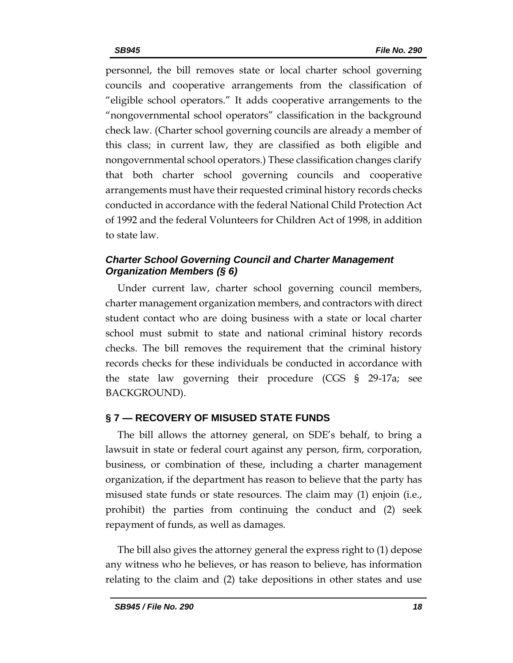personnel, the bill removes state or local charter school governing councils and cooperative arrangements from the classification of "eligible school operators." It adds cooperative arrangements to the "nongovernmental school operators" classification in the background check law. (Charter school governing councils are already a member of this class; in current law, they are classified as both eligible and nongovernmental school operators.) These classification changes clarify that both charter school governing councils and cooperative arrangements must have their requested criminal history records checks conducted in accordance with the federal National Child Protection Act of 1992 and the federal Volunteers for Children Act of 1998, in addition to state law.

# *Charter School Governing Council and Charter Management Organization Members (§ 6)*

Under current law, charter school governing council members, charter management organization members, and contractors with direct student contact who are doing business with a state or local charter school must submit to state and national criminal history records checks. The bill removes the requirement that the criminal history records checks for these individuals be conducted in accordance with the state law governing their procedure (CGS § 29-17a; see BACKGROUND).

# **§ 7 — RECOVERY OF MISUSED STATE FUNDS**

The bill allows the attorney general, on SDE's behalf, to bring a lawsuit in state or federal court against any person, firm, corporation, business, or combination of these, including a charter management organization, if the department has reason to believe that the party has misused state funds or state resources. The claim may (1) enjoin (i.e., prohibit) the parties from continuing the conduct and (2) seek repayment of funds, as well as damages.

The bill also gives the attorney general the express right to (1) depose any witness who he believes, or has reason to believe, has information relating to the claim and (2) take depositions in other states and use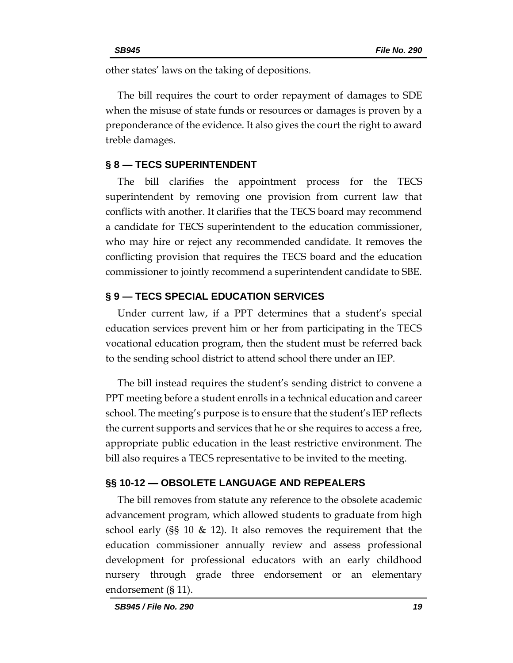other states' laws on the taking of depositions.

The bill requires the court to order repayment of damages to SDE when the misuse of state funds or resources or damages is proven by a preponderance of the evidence. It also gives the court the right to award treble damages.

### **§ 8 — TECS SUPERINTENDENT**

The bill clarifies the appointment process for the TECS superintendent by removing one provision from current law that conflicts with another. It clarifies that the TECS board may recommend a candidate for TECS superintendent to the education commissioner, who may hire or reject any recommended candidate. It removes the conflicting provision that requires the TECS board and the education commissioner to jointly recommend a superintendent candidate to SBE.

### **§ 9 — TECS SPECIAL EDUCATION SERVICES**

Under current law, if a PPT determines that a student's special education services prevent him or her from participating in the TECS vocational education program, then the student must be referred back to the sending school district to attend school there under an IEP.

The bill instead requires the student's sending district to convene a PPT meeting before a student enrolls in a technical education and career school. The meeting's purpose is to ensure that the student's IEP reflects the current supports and services that he or she requires to access a free, appropriate public education in the least restrictive environment. The bill also requires a TECS representative to be invited to the meeting.

### **§§ 10-12 — OBSOLETE LANGUAGE AND REPEALERS**

The bill removes from statute any reference to the obsolete academic advancement program, which allowed students to graduate from high school early (§§ 10  $\&$  12). It also removes the requirement that the education commissioner annually review and assess professional development for professional educators with an early childhood nursery through grade three endorsement or an elementary endorsement (§ 11).